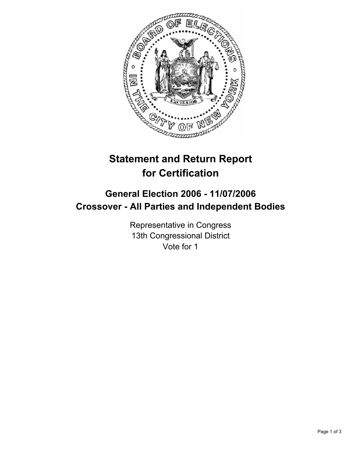

# **Statement and Return Report for Certification**

## **General Election 2006 - 11/07/2006 Crossover - All Parties and Independent Bodies**

Representative in Congress 13th Congressional District Vote for 1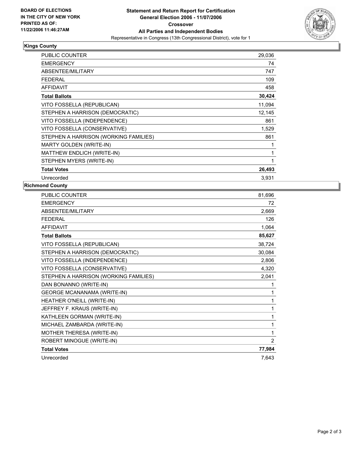

#### **Kings County**

| PUBLIC COUNTER                        | 29,036 |
|---------------------------------------|--------|
| <b>EMERGENCY</b>                      | 74     |
| ABSENTEE/MILITARY                     | 747    |
| <b>FEDERAL</b>                        | 109    |
| <b>AFFIDAVIT</b>                      | 458    |
| <b>Total Ballots</b>                  | 30,424 |
| VITO FOSSELLA (REPUBLICAN)            | 11,094 |
| STEPHEN A HARRISON (DEMOCRATIC)       | 12,145 |
| VITO FOSSELLA (INDEPENDENCE)          | 861    |
| VITO FOSSELLA (CONSERVATIVE)          | 1,529  |
| STEPHEN A HARRISON (WORKING FAMILIES) | 861    |
| <b>MARTY GOLDEN (WRITE-IN)</b>        |        |
| MATTHEW ENDLICH (WRITE-IN)            |        |
| STEPHEN MYERS (WRITE-IN)              |        |
| <b>Total Votes</b>                    | 26,493 |
| Unrecorded                            | 3,931  |

### **Richmond County**

| <b>PUBLIC COUNTER</b>                 | 81,696         |
|---------------------------------------|----------------|
| <b>EMERGENCY</b>                      | 72             |
| ABSENTEE/MILITARY                     | 2,669          |
| <b>FEDERAL</b>                        | 126            |
| <b>AFFIDAVIT</b>                      | 1,064          |
| <b>Total Ballots</b>                  | 85,627         |
| VITO FOSSELLA (REPUBLICAN)            | 38,724         |
| STEPHEN A HARRISON (DEMOCRATIC)       | 30,084         |
| VITO FOSSELLA (INDEPENDENCE)          | 2,806          |
| VITO FOSSELLA (CONSERVATIVE)          | 4,320          |
| STEPHEN A HARRISON (WORKING FAMILIES) | 2,041          |
| DAN BONANNO (WRITE-IN)                |                |
| <b>GEORGE MCANANAMA (WRITE-IN)</b>    |                |
| HEATHER O'NEILL (WRITE-IN)            | 1              |
| JEFFREY F. KRAUS (WRITE-IN)           | 1              |
| KATHLEEN GORMAN (WRITE-IN)            |                |
| MICHAEL ZAMBARDA (WRITE-IN)           | 1              |
| MOTHER THERESA (WRITE-IN)             | 1              |
| ROBERT MINOGUE (WRITE-IN)             | $\overline{2}$ |
| <b>Total Votes</b>                    | 77,984         |
| Unrecorded                            | 7,643          |
|                                       |                |